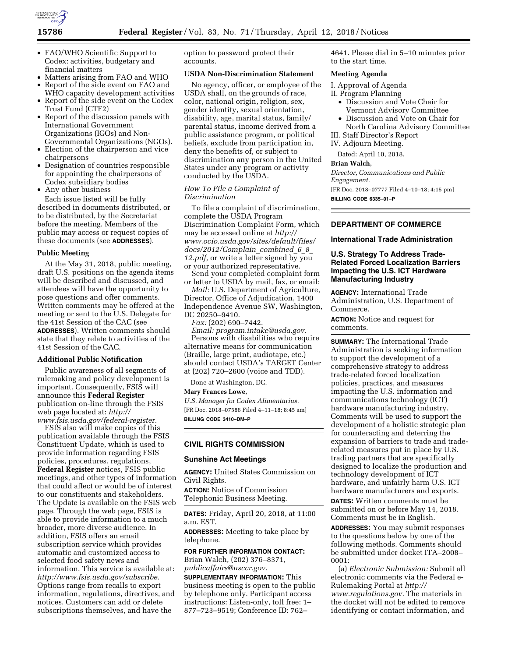

- FAO/WHO Scientific Support to Codex: activities, budgetary and financial matters
- Matters arising from FAO and WHO
- Report of the side event on FAO and
- WHO capacity development activities • Report of the side event on the Codex Trust Fund (CTF2)
- Report of the discussion panels with International Government Organizations (IGOs) and Non-Governmental Organizations (NGOs).
- Election of the chairperson and vice chairpersons
- Designation of countries responsible for appointing the chairpersons of Codex subsidiary bodies
- Any other business

Each issue listed will be fully described in documents distributed, or to be distributed, by the Secretariat before the meeting. Members of the public may access or request copies of these documents (see **ADDRESSES**).

#### **Public Meeting**

At the May 31, 2018, public meeting, draft U.S. positions on the agenda items will be described and discussed, and attendees will have the opportunity to pose questions and offer comments. Written comments may be offered at the meeting or sent to the U.S. Delegate for the 41st Session of the CAC (see **ADDRESSES**). Written comments should state that they relate to activities of the 41st Session of the CAC.

## **Additional Public Notification**

Public awareness of all segments of rulemaking and policy development is important. Consequently, FSIS will announce this **Federal Register**  publication on-line through the FSIS web page located at: *[http://](http://www.fsis.usda.gov/federal-register) [www.fsis.usda.gov/federal-register.](http://www.fsis.usda.gov/federal-register)* 

FSIS also will make copies of this publication available through the FSIS Constituent Update, which is used to provide information regarding FSIS policies, procedures, regulations, **Federal Register** notices, FSIS public meetings, and other types of information that could affect or would be of interest to our constituents and stakeholders. The Update is available on the FSIS web page. Through the web page, FSIS is able to provide information to a much broader, more diverse audience. In addition, FSIS offers an email subscription service which provides automatic and customized access to selected food safety news and information. This service is available at: *[http://www.fsis.usda.gov/subscribe.](http://www.fsis.usda.gov/subscribe)*  Options range from recalls to export information, regulations, directives, and notices. Customers can add or delete subscriptions themselves, and have the

option to password protect their accounts.

# **USDA Non-Discrimination Statement**

No agency, officer, or employee of the USDA shall, on the grounds of race, color, national origin, religion, sex, gender identity, sexual orientation, disability, age, marital status, family/ parental status, income derived from a public assistance program, or political beliefs, exclude from participation in, deny the benefits of, or subject to discrimination any person in the United States under any program or activity conducted by the USDA.

### *How To File a Complaint of Discrimination*

To file a complaint of discrimination, complete the USDA Program Discrimination Complaint Form, which may be accessed online at *[http://](http://www.ocio.usda.gov/sites/default/files/docs/2012/Complain_combined_6_8_12.pdf) [www.ocio.usda.gov/sites/default/files/](http://www.ocio.usda.gov/sites/default/files/docs/2012/Complain_combined_6_8_12.pdf) [docs/2012/Complain](http://www.ocio.usda.gov/sites/default/files/docs/2012/Complain_combined_6_8_12.pdf)*\_*combined*\_*6*\_*8*\_ *[12.pdf,](http://www.ocio.usda.gov/sites/default/files/docs/2012/Complain_combined_6_8_12.pdf)* or write a letter signed by you or your authorized representative.

Send your completed complaint form or letter to USDA by mail, fax, or email:

*Mail:* U.S. Department of Agriculture, Director, Office of Adjudication, 1400 Independence Avenue SW, Washington, DC 20250–9410.

*Fax:* (202) 690–7442.

*Email: [program.intake@usda.gov](mailto:program.intake@usda.gov)*. Persons with disabilities who require alternative means for communication (Braille, large print, audiotape, etc.) should contact USDA's TARGET Center at (202) 720–2600 (voice and TDD).

Done at Washington, DC.

#### **Mary Frances Lowe,**

*U.S. Manager for Codex Alimentarius.*  [FR Doc. 2018–07586 Filed 4–11–18; 8:45 am] **BILLING CODE 3410–DM–P** 

# **CIVIL RIGHTS COMMISSION**

# **Sunshine Act Meetings**

**AGENCY:** United States Commission on Civil Rights.

**ACTION:** Notice of Commission Telephonic Business Meeting.

**DATES:** Friday, April 20, 2018, at 11:00 a.m. EST.

**ADDRESSES:** Meeting to take place by telephone.

### **FOR FURTHER INFORMATION CONTACT:**  Brian Walch, (202) 376–8371,

*[publicaffairs@usccr.gov.](mailto:publicaffairs@usccr.gov)* 

**SUPPLEMENTARY INFORMATION:** This business meeting is open to the public by telephone only. Participant access instructions: Listen-only, toll free: 1– 877–723–9519; Conference ID: 762–

4641. Please dial in 5–10 minutes prior to the start time.

#### **Meeting Agenda**

I. Approval of Agenda

- II. Program Planning
	- Discussion and Vote Chair for Vermont Advisory Committee
- Discussion and Vote on Chair for North Carolina Advisory Committee
- III. Staff Director's Report
- IV. Adjourn Meeting.

Dated: April 10, 2018.

#### **Brian Walch,**

*Director, Communications and Public Engagement.* 

[FR Doc. 2018–07777 Filed 4–10–18; 4:15 pm]

**BILLING CODE 6335–01–P** 

# **DEPARTMENT OF COMMERCE**

#### **International Trade Administration**

# **U.S. Strategy To Address Trade-Related Forced Localization Barriers Impacting the U.S. ICT Hardware Manufacturing Industry**

**AGENCY:** International Trade Administration, U.S. Department of Commerce.

**ACTION:** Notice and request for comments.

**SUMMARY:** The International Trade Administration is seeking information to support the development of a comprehensive strategy to address trade-related forced localization policies, practices, and measures impacting the U.S. information and communications technology (ICT) hardware manufacturing industry. Comments will be used to support the development of a holistic strategic plan for counteracting and deterring the expansion of barriers to trade and traderelated measures put in place by U.S. trading partners that are specifically designed to localize the production and technology development of ICT hardware, and unfairly harm U.S. ICT hardware manufacturers and exports.

**DATES:** Written comments must be submitted on or before May 14, 2018. Comments must be in English.

**ADDRESSES:** You may submit responses to the questions below by one of the following methods. Comments should be submitted under docket ITA–2008– 0001:

(a) *Electronic Submission:* Submit all electronic comments via the Federal e-Rulemaking Portal at *[http://](http://www.regulations.gov) [www.regulations.gov.](http://www.regulations.gov)* The materials in the docket will not be edited to remove identifying or contact information, and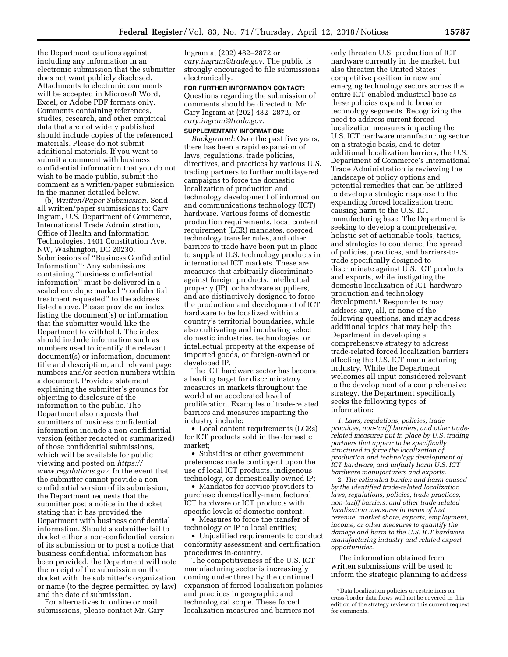the Department cautions against including any information in an electronic submission that the submitter does not want publicly disclosed. Attachments to electronic comments will be accepted in Microsoft Word, Excel, or Adobe PDF formats only. Comments containing references, studies, research, and other empirical data that are not widely published should include copies of the referenced materials. Please do not submit additional materials. If you want to submit a comment with business confidential information that you do not wish to be made public, submit the comment as a written/paper submission in the manner detailed below.

(b) *Written/Paper Submission:* Send all written/paper submissions to: Cary Ingram, U.S. Department of Commerce, International Trade Administration, Office of Health and Information Technologies, 1401 Constitution Ave. NW, Washington, DC 20230; Submissions of ''Business Confidential Information'': Any submissions containing ''business confidential information'' must be delivered in a sealed envelope marked ''confidential treatment requested'' to the address listed above. Please provide an index listing the document(s) or information that the submitter would like the Department to withhold. The index should include information such as numbers used to identify the relevant document(s) or information, document title and description, and relevant page numbers and/or section numbers within a document. Provide a statement explaining the submitter's grounds for objecting to disclosure of the information to the public. The Department also requests that submitters of business confidential information include a non-confidential version (either redacted or summarized) of those confidential submissions, which will be available for public viewing and posted on *[https://](https://www.regulations.gov) [www.regulations.gov.](https://www.regulations.gov)* In the event that the submitter cannot provide a nonconfidential version of its submission, the Department requests that the submitter post a notice in the docket stating that it has provided the Department with business confidential information. Should a submitter fail to docket either a non-confidential version of its submission or to post a notice that business confidential information has been provided, the Department will note the receipt of the submission on the docket with the submitter's organization or name (to the degree permitted by law) and the date of submission.

For alternatives to online or mail submissions, please contact Mr. Cary

Ingram at (202) 482–2872 or *[cary.ingram@trade.gov.](mailto:cary.ingram@trade.gov)* The public is strongly encouraged to file submissions electronically.

**FOR FURTHER INFORMATION CONTACT:**  Questions regarding the submission of comments should be directed to Mr. Cary Ingram at (202) 482–2872, or *[cary.ingram@trade.gov.](mailto:cary.ingram@trade.gov)* 

#### **SUPPLEMENTARY INFORMATION:**

*Background:* Over the past five years, there has been a rapid expansion of laws, regulations, trade policies, directives, and practices by various U.S. trading partners to further multilayered campaigns to force the domestic localization of production and technology development of information and communications technology (ICT) hardware. Various forms of domestic production requirements, local content requirement (LCR) mandates, coerced technology transfer rules, and other barriers to trade have been put in place to supplant U.S. technology products in international ICT markets. These are measures that arbitrarily discriminate against foreign products, intellectual property (IP), or hardware suppliers, and are distinctively designed to force the production and development of ICT hardware to be localized within a country's territorial boundaries, while also cultivating and incubating select domestic industries, technologies, or intellectual property at the expense of imported goods, or foreign-owned or developed IP.

The ICT hardware sector has become a leading target for discriminatory measures in markets throughout the world at an accelerated level of proliferation. Examples of trade-related barriers and measures impacting the industry include:

• Local content requirements (LCRs) for ICT products sold in the domestic market;

• Subsidies or other government preferences made contingent upon the use of local ICT products, indigenous technology, or domestically owned IP;

• Mandates for service providers to purchase domestically-manufactured ICT hardware or ICT products with specific levels of domestic content;

• Measures to force the transfer of technology or IP to local entities;

• Unjustified requirements to conduct conformity assessment and certification procedures in-country.

The competitiveness of the U.S. ICT manufacturing sector is increasingly coming under threat by the continued expansion of forced localization policies and practices in geographic and technological scope. These forced localization measures and barriers not

only threaten U.S. production of ICT hardware currently in the market, but also threaten the United States' competitive position in new and emerging technology sectors across the entire ICT-enabled industrial base as these policies expand to broader technology segments. Recognizing the need to address current forced localization measures impacting the U.S. ICT hardware manufacturing sector on a strategic basis, and to deter additional localization barriers, the U.S. Department of Commerce's International Trade Administration is reviewing the landscape of policy options and potential remedies that can be utilized to develop a strategic response to the expanding forced localization trend causing harm to the U.S. ICT manufacturing base. The Department is seeking to develop a comprehensive, holistic set of actionable tools, tactics, and strategies to counteract the spread of policies, practices, and barriers-totrade specifically designed to discriminate against U.S. ICT products and exports, while instigating the domestic localization of ICT hardware production and technology development.<sup>1</sup> Respondents may address any, all, or none of the following questions, and may address additional topics that may help the Department in developing a comprehensive strategy to address trade-related forced localization barriers affecting the U.S. ICT manufacturing industry. While the Department welcomes all input considered relevant to the development of a comprehensive strategy, the Department specifically seeks the following types of information:

*1. Laws, regulations, policies, trade practices, non-tariff barriers, and other traderelated measures put in place by U.S. trading partners that appear to be specifically structured to force the localization of production and technology development of ICT hardware, and unfairly harm U.S. ICT hardware manufacturers and exports.* 

2. *The estimated burden and harm caused by the identified trade-related localization laws, regulations, policies, trade practices, non-tariff barriers, and other trade-related localization measures in terms of lost revenue, market share, exports, employment, income, or other measures to quantify the damage and harm to the U.S. ICT hardware manufacturing industry and related export opportunities.* 

The information obtained from written submissions will be used to inform the strategic planning to address

<sup>1</sup> Data localization policies or restrictions on cross-border data flows will not be covered in this edition of the strategy review or this current request for comments.